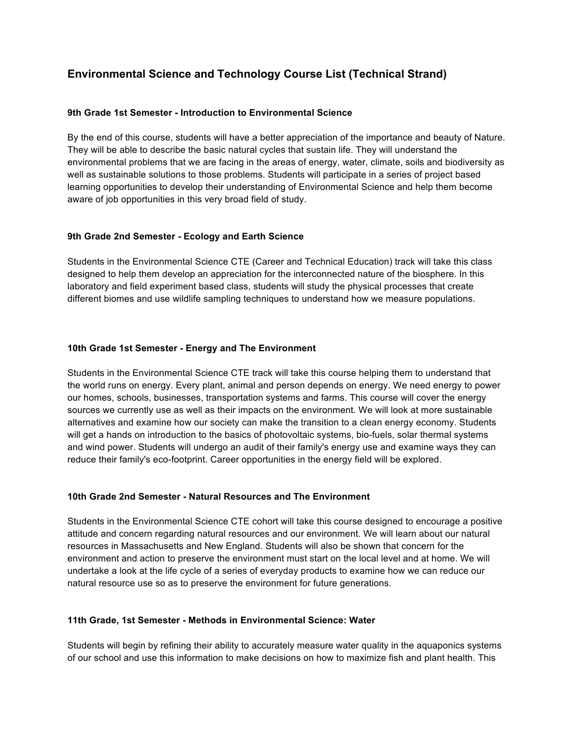# **Environmental Science and Technology Course List (Technical Strand)**

#### **9th Grade 1st Semester - Introduction to Environmental Science**

By the end of this course, students will have a better appreciation of the importance and beauty of Nature. They will be able to describe the basic natural cycles that sustain life. They will understand the environmental problems that we are facing in the areas of energy, water, climate, soils and biodiversity as well as sustainable solutions to those problems. Students will participate in a series of project based learning opportunities to develop their understanding of Environmental Science and help them become aware of job opportunities in this very broad field of study.

#### **9th Grade 2nd Semester - Ecology and Earth Science**

Students in the Environmental Science CTE (Career and Technical Education) track will take this class designed to help them develop an appreciation for the interconnected nature of the biosphere. In this laboratory and field experiment based class, students will study the physical processes that create different biomes and use wildlife sampling techniques to understand how we measure populations.

## **10th Grade 1st Semester - Energy and The Environment**

Students in the Environmental Science CTE track will take this course helping them to understand that the world runs on energy. Every plant, animal and person depends on energy. We need energy to power our homes, schools, businesses, transportation systems and farms. This course will cover the energy sources we currently use as well as their impacts on the environment. We will look at more sustainable alternatives and examine how our society can make the transition to a clean energy economy. Students will get a hands on introduction to the basics of photovoltaic systems, bio-fuels, solar thermal systems and wind power. Students will undergo an audit of their family's energy use and examine ways they can reduce their family's eco-footprint. Career opportunities in the energy field will be explored.

#### **10th Grade 2nd Semester - Natural Resources and The Environment**

Students in the Environmental Science CTE cohort will take this course designed to encourage a positive attitude and concern regarding natural resources and our environment. We will learn about our natural resources in Massachusetts and New England. Students will also be shown that concern for the environment and action to preserve the environment must start on the local level and at home. We will undertake a look at the life cycle of a series of everyday products to examine how we can reduce our natural resource use so as to preserve the environment for future generations.

#### **11th Grade, 1st Semester - Methods in Environmental Science: Water**

Students will begin by refining their ability to accurately measure water quality in the aquaponics systems of our school and use this information to make decisions on how to maximize fish and plant health. This